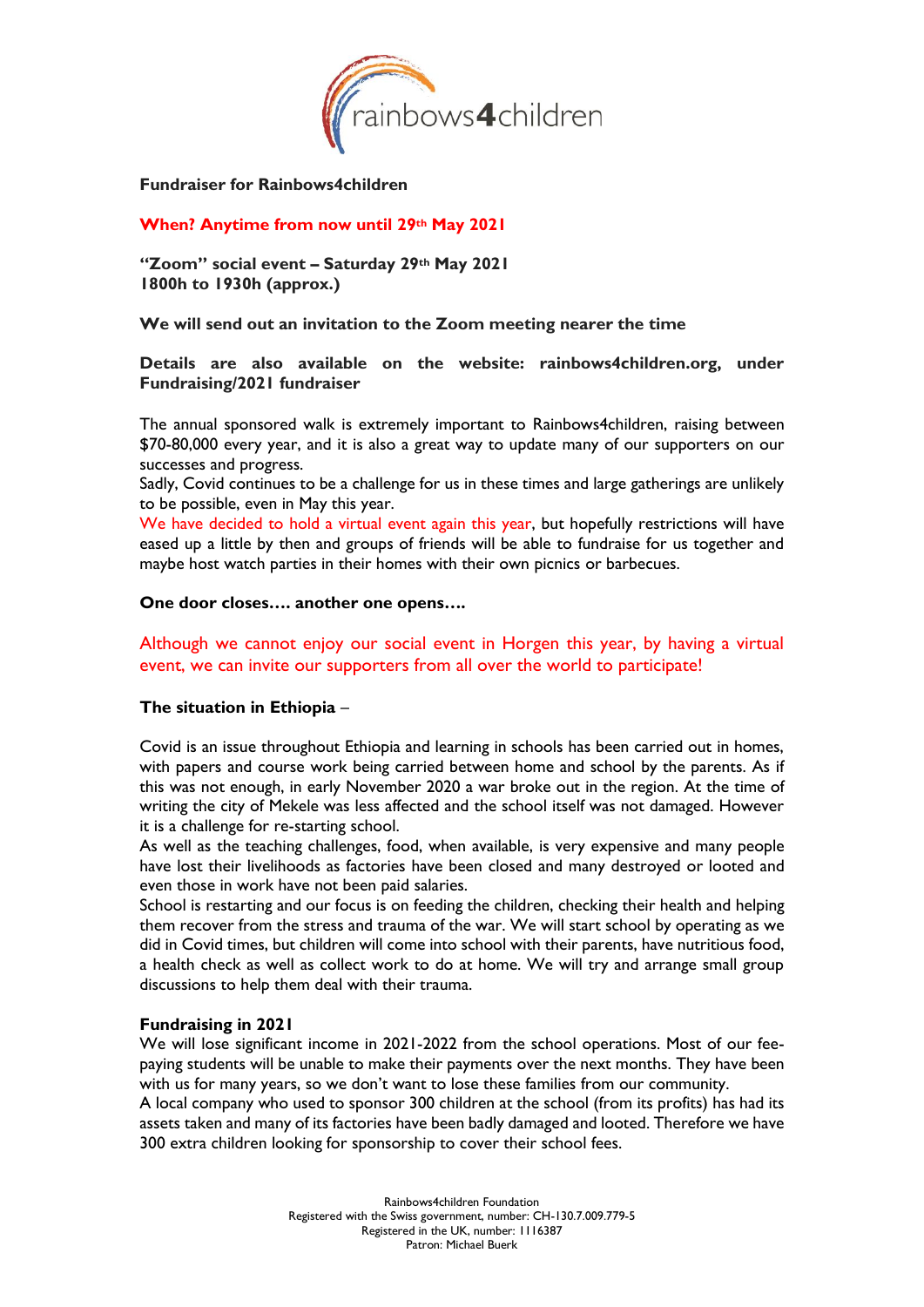

**Fundraiser for Rainbows4children**

## **When? Anytime from now until 29th May 2021**

**"Zoom" social event – Saturday 29th May 2021 1800h to 1930h (approx.)**

**We will send out an invitation to the Zoom meeting nearer the time**

#### **Details are also available on the website: rainbows4children.org, under Fundraising/2021 fundraiser**

The annual sponsored walk is extremely important to Rainbows4children, raising between \$70-80,000 every year, and it is also a great way to update many of our supporters on our successes and progress.

Sadly, Covid continues to be a challenge for us in these times and large gatherings are unlikely to be possible, even in May this year.

We have decided to hold a virtual event again this year, but hopefully restrictions will have eased up a little by then and groups of friends will be able to fundraise for us together and maybe host watch parties in their homes with their own picnics or barbecues.

#### **One door closes…. another one opens….**

# Although we cannot enjoy our social event in Horgen this year, by having a virtual event, we can invite our supporters from all over the world to participate!

#### **The situation in Ethiopia** –

Covid is an issue throughout Ethiopia and learning in schools has been carried out in homes, with papers and course work being carried between home and school by the parents. As if this was not enough, in early November 2020 a war broke out in the region. At the time of writing the city of Mekele was less affected and the school itself was not damaged. However it is a challenge for re-starting school.

As well as the teaching challenges, food, when available, is very expensive and many people have lost their livelihoods as factories have been closed and many destroyed or looted and even those in work have not been paid salaries.

School is restarting and our focus is on feeding the children, checking their health and helping them recover from the stress and trauma of the war. We will start school by operating as we did in Covid times, but children will come into school with their parents, have nutritious food, a health check as well as collect work to do at home. We will try and arrange small group discussions to help them deal with their trauma.

#### **Fundraising in 2021**

We will lose significant income in 2021-2022 from the school operations. Most of our feepaying students will be unable to make their payments over the next months. They have been with us for many years, so we don't want to lose these families from our community.

A local company who used to sponsor 300 children at the school (from its profits) has had its assets taken and many of its factories have been badly damaged and looted. Therefore we have 300 extra children looking for sponsorship to cover their school fees.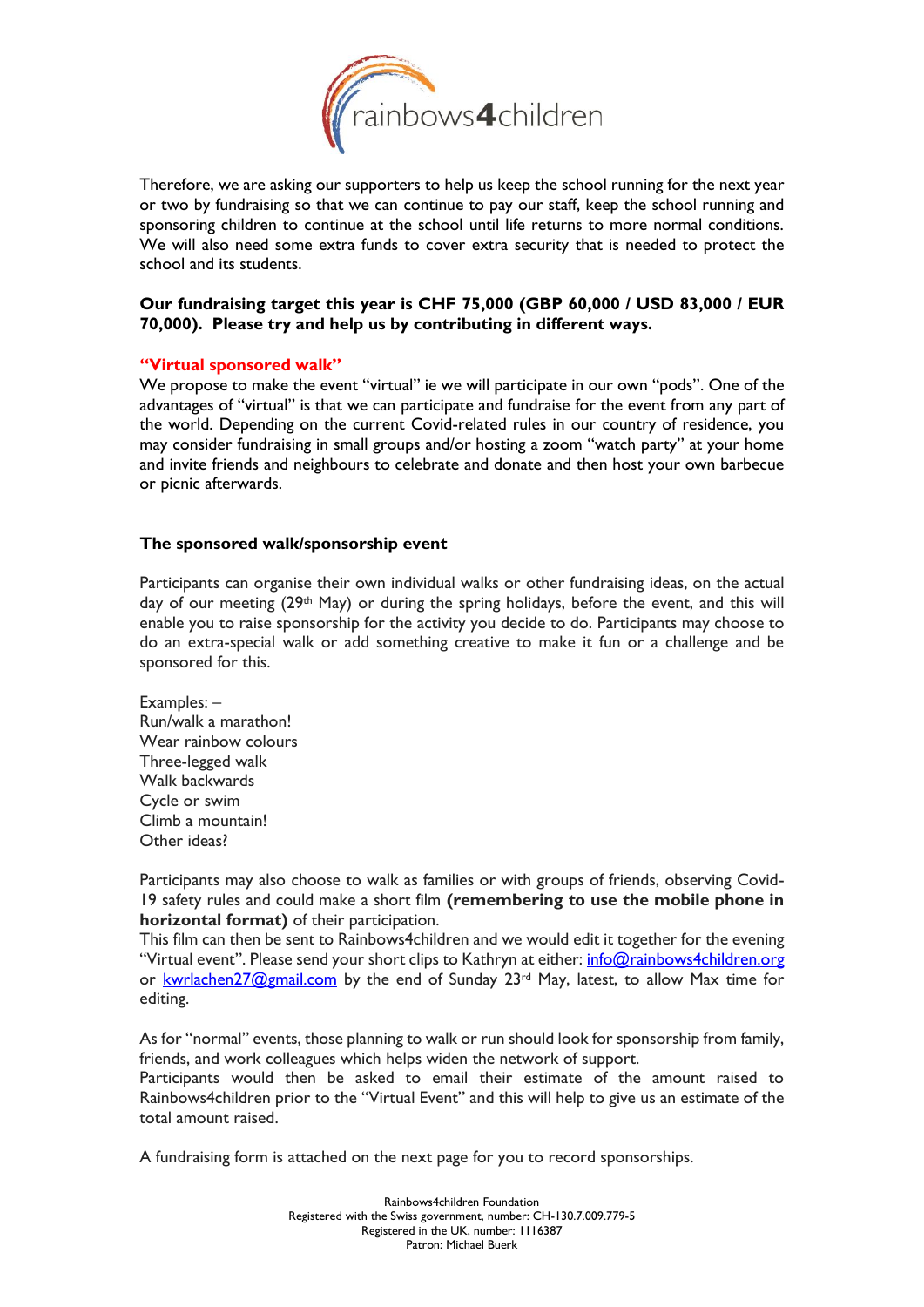

Therefore, we are asking our supporters to help us keep the school running for the next year or two by fundraising so that we can continue to pay our staff, keep the school running and sponsoring children to continue at the school until life returns to more normal conditions. We will also need some extra funds to cover extra security that is needed to protect the school and its students.

# **Our fundraising target this year is CHF 75,000 (GBP 60,000 / USD 83,000 / EUR 70,000). Please try and help us by contributing in different ways.**

#### **"Virtual sponsored walk"**

We propose to make the event "virtual" ie we will participate in our own "pods". One of the advantages of "virtual" is that we can participate and fundraise for the event from any part of the world. Depending on the current Covid-related rules in our country of residence, you may consider fundraising in small groups and/or hosting a zoom "watch party" at your home and invite friends and neighbours to celebrate and donate and then host your own barbecue or picnic afterwards.

## **The sponsored walk/sponsorship event**

Participants can organise their own individual walks or other fundraising ideas, on the actual day of our meeting (29<sup>th</sup> May) or during the spring holidays, before the event, and this will enable you to raise sponsorship for the activity you decide to do. Participants may choose to do an extra-special walk or add something creative to make it fun or a challenge and be sponsored for this.

Examples: – Run/walk a marathon! Wear rainbow colours Three-legged walk Walk backwards Cycle or swim Climb a mountain! Other ideas?

Participants may also choose to walk as families or with groups of friends, observing Covid-19 safety rules and could make a short film **(remembering to use the mobile phone in horizontal format)** of their participation.

This film can then be sent to Rainbows4children and we would edit it together for the evening "Virtual event". Please send your short clips to Kathryn at either: info@rainbows4children.org or [kwrlachen27@gmail.com](mailto:kwrlachen27@gmail.com) by the end of Sunday 23<sup>rd</sup> May, latest, to allow Max time for editing.

As for "normal" events, those planning to walk or run should look for sponsorship from family, friends, and work colleagues which helps widen the network of support.

Participants would then be asked to email their estimate of the amount raised to Rainbows4children prior to the "Virtual Event" and this will help to give us an estimate of the total amount raised.

A fundraising form is attached on the next page for you to record sponsorships.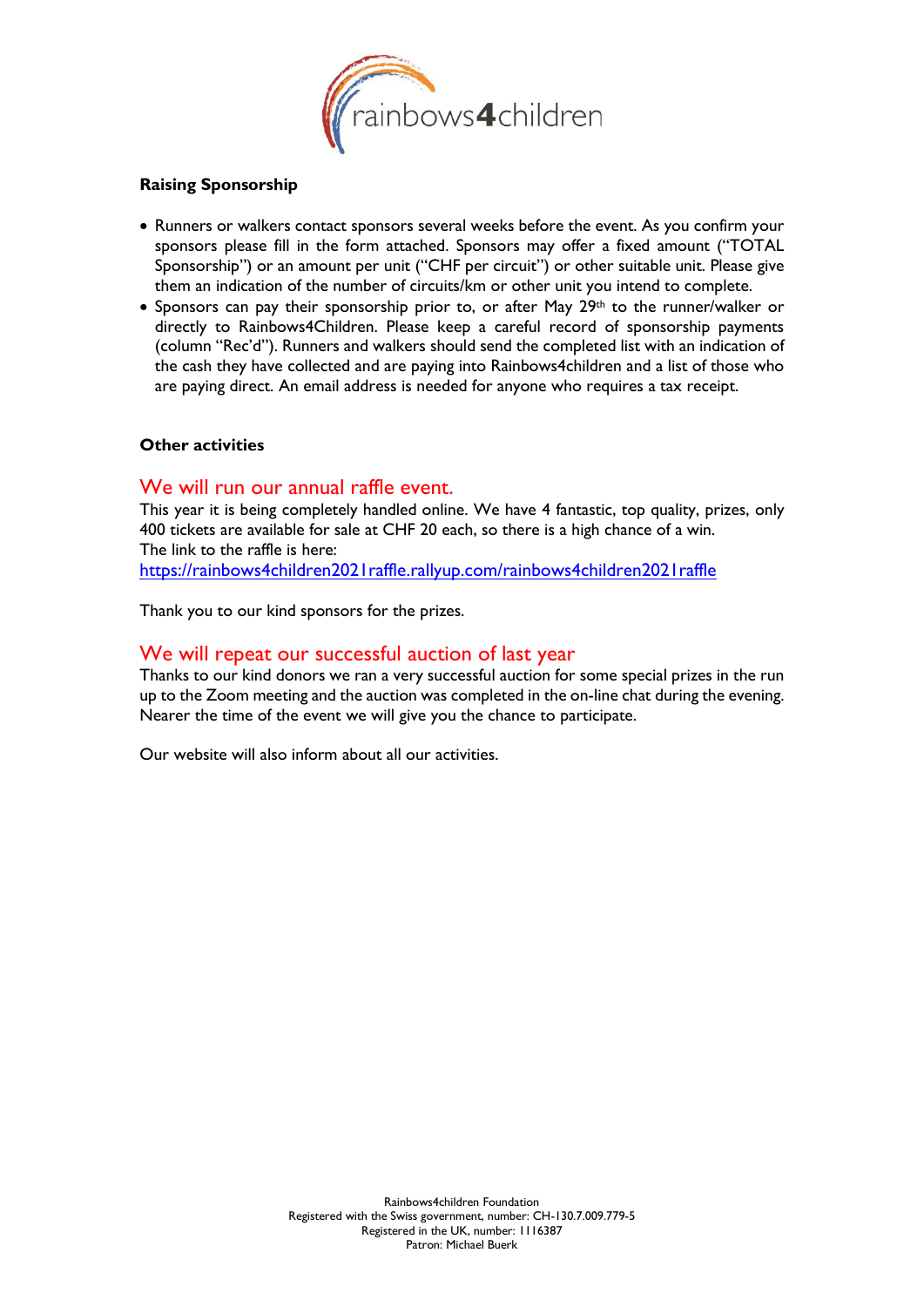

## **Raising Sponsorship**

- Runners or walkers contact sponsors several weeks before the event. As you confirm your sponsors please fill in the form attached. Sponsors may offer a fixed amount ("TOTAL Sponsorship") or an amount per unit ("CHF per circuit") or other suitable unit. Please give them an indication of the number of circuits/km or other unit you intend to complete.
- Sponsors can pay their sponsorship prior to, or after May  $29<sup>th</sup>$  to the runner/walker or directly to Rainbows4Children. Please keep a careful record of sponsorship payments (column "Rec'd"). Runners and walkers should send the completed list with an indication of the cash they have collected and are paying into Rainbows4children and a list of those who are paying direct. An email address is needed for anyone who requires a tax receipt.

## **Other activities**

# We will run our annual raffle event.

This year it is being completely handled online. We have 4 fantastic, top quality, prizes, only 400 tickets are available for sale at CHF 20 each, so there is a high chance of a win. The link to the raffle is here: <https://rainbows4children2021raffle.rallyup.com/rainbows4children2021raffle>

Thank you to our kind sponsors for the prizes.

# We will repeat our successful auction of last year

Thanks to our kind donors we ran a very successful auction for some special prizes in the run up to the Zoom meeting and the auction was completed in the on-line chat during the evening. Nearer the time of the event we will give you the chance to participate.

Our website will also inform about all our activities.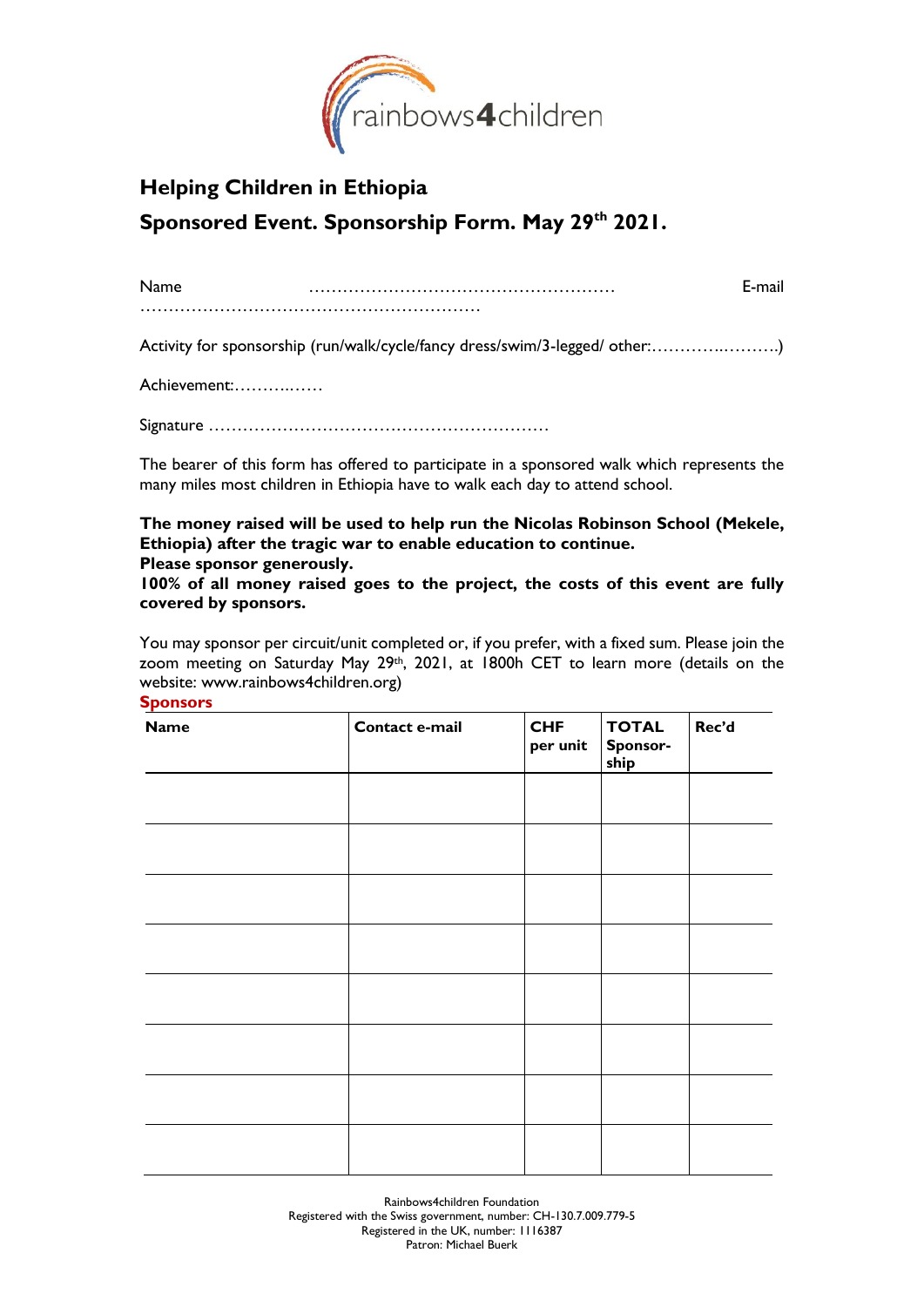

# **Helping Children in Ethiopia Sponsored Event. Sponsorship Form. May 29 th 2021.**

| Name | :-mail |
|------|--------|
|      |        |

Activity for sponsorship (run/walk/cycle/fancy dress/swim/3-legged/ other:………….……….)

Achievement:……….……

Signature ……………………………………………………

The bearer of this form has offered to participate in a sponsored walk which represents the many miles most children in Ethiopia have to walk each day to attend school.

**The money raised will be used to help run the Nicolas Robinson School (Mekele, Ethiopia) after the tragic war to enable education to continue. Please sponsor generously.** 

**100% of all money raised goes to the project, the costs of this event are fully covered by sponsors.**

You may sponsor per circuit/unit completed or, if you prefer, with a fixed sum. Please join the zoom meeting on Saturday May 29th, 2021, at 1800h CET to learn more (details on the website: www.rainbows4children.org) **Sponsors**

| <b>Name</b> | Contact e-mail | <b>CHF</b><br>per unit | <b>TOTAL</b><br>Sponsor-<br>ship | Rec'd |
|-------------|----------------|------------------------|----------------------------------|-------|
|             |                |                        |                                  |       |
|             |                |                        |                                  |       |
|             |                |                        |                                  |       |
|             |                |                        |                                  |       |
|             |                |                        |                                  |       |
|             |                |                        |                                  |       |
|             |                |                        |                                  |       |
|             |                |                        |                                  |       |

Rainbows4children Foundation Registered with the Swiss government, number: CH-130.7.009.779-5 Registered in the UK, number: 1116387 Patron: Michael Buerk